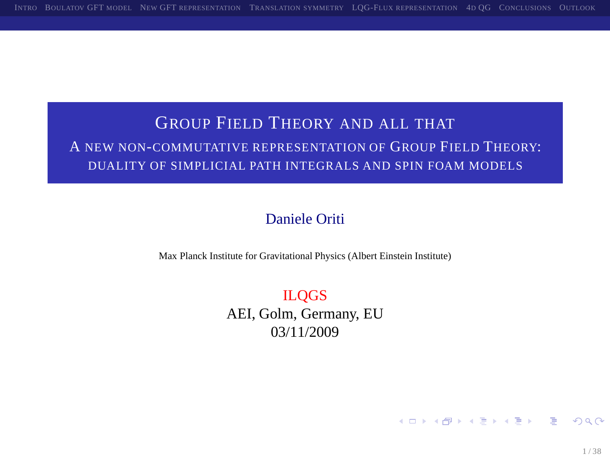## GROUP FIELD THEORY AND ALL THAT A NEW NON-COMMUTATIVE REPRESENTATION OF GROUP FIELD THEORY: DUALITY OF SIMPLICIAL PATH INTEGRALS AND SPIN FOAM MODELS

#### Daniele Oriti

Max Planck Institute for Gravitational Physics (Albert Einstein Institute)

ILQGS AEI, Golm, Germany, EU 03/11/2009

<span id="page-0-0"></span>K ロ ▶ K 個 ▶ K 할 ▶ K 할 ▶ - 할 → 9 Q @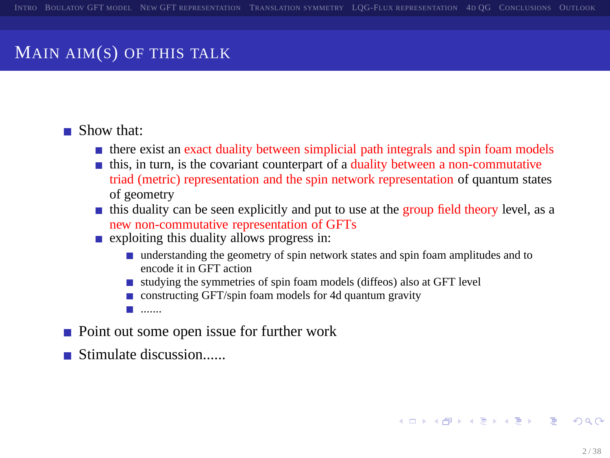## MAIN AIM(S) OF THIS TALK

#### Show that:

- there exist an exact duality between simplicial path integrals and spin foam models
- this, in turn, is the covariant counterpart of a duality between a non-commutative triad (metric) representation and the spin network representation of quantum states of geometry
- this duality can be seen explicitly and put to use at the group field theory level, as a new non-commutative representation of GFTs
- **Exploiting this duality allows progress in:** 
	- understanding the geometry of spin network states and spin foam amplitudes and to encode it in GFT action
	- $\blacksquare$  studying the symmetries of spin foam models (diffeos) also at GFT level
	- $\Box$  constructing GFT/spin foam models for 4d quantum gravity
	- .......
- Point out some open issue for further work
- $\blacksquare$  Stimulate discussion......

<span id="page-1-0"></span>**KORK EXTERN EL ARA**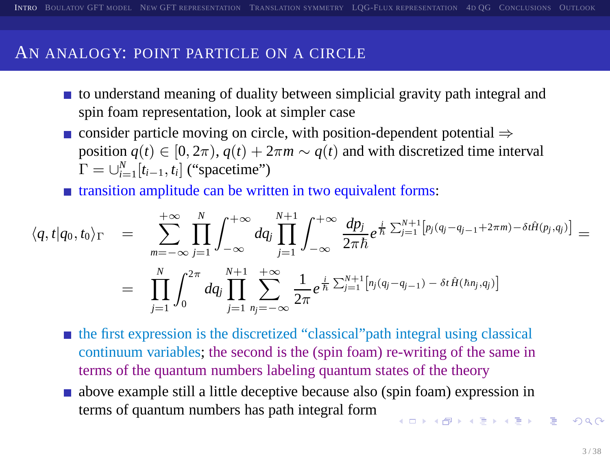#### AN ANALOGY: POINT PARTICLE ON A CIRCLE

- $\blacksquare$  to understand meaning of duality between simplicial gravity path integral and spin foam representation, look at simpler case
- consider particle moving on circle, with position-dependent potential  $\Rightarrow$ position  $q(t) \in [0, 2\pi), q(t) + 2\pi m \sim q(t)$  and with discretized time interval  $\Gamma = \bigcup_{i=1}^{N} [t_{i-1}, t_i]$  ("spacetime")

transition amplitude can be written in two equivalent forms:

$$
\langle q, t | q_0, t_0 \rangle_{\Gamma} = \sum_{m=-\infty}^{+\infty} \prod_{j=1}^{N} \int_{-\infty}^{+\infty} dq_j \prod_{j=1}^{N+1} \int_{-\infty}^{+\infty} \frac{dp_j}{2\pi \hbar} e^{\frac{i}{\hbar} \sum_{j=1}^{N+1} \left[ p_j (q_j - q_{j-1} + 2\pi m) - \delta t \hat{H}(p_j, q_j) \right]}{2\pi \hbar} =
$$
  

$$
= \prod_{j=1}^{N} \int_{0}^{2\pi} dq_j \prod_{j=1}^{N+1} \sum_{n_j=-\infty}^{+\infty} \frac{1}{2\pi} e^{\frac{i}{\hbar} \sum_{j=1}^{N+1} \left[ n_j (q_j - q_{j-1}) - \delta t \hat{H}(h n_j, q_j) \right]}
$$

- the first expression is the discretized "classical"path integral using classical continuum variables; the second is the (spin foam) re-writing of the same in terms of the quantum numbers labeling quantum states of the theory
- <span id="page-2-0"></span>above example still a little deceptive because also (spin foam) expression in terms of quantum numbers has path integral form  $10110$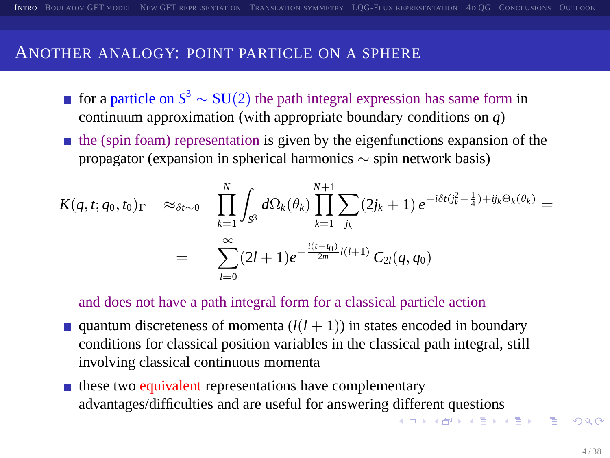#### ANOTHER ANALOGY: POINT PARTICLE ON A SPHERE

- for a particle on  $S^3 \sim SU(2)$  the path integral expression has same form in continuum approximation (with appropriate boundary conditions on *q*)
- $\blacksquare$  the (spin foam) representation is given by the eigenfunctions expansion of the propagator (expansion in spherical harmonics ∼ spin network basis)

$$
K(q, t; q_0, t_0) \Gamma \approx_{\delta t \sim 0} \prod_{k=1}^{N} \int_{S^3} d\Omega_k(\theta_k) \prod_{k=1}^{N+1} \sum_{j_k} (2j_k + 1) e^{-i\delta t (\int_k^2 - \frac{1}{4}) + ij_k \Theta_k(\theta_k)} =
$$
  
= 
$$
\sum_{l=0}^{\infty} (2l + 1) e^{-\frac{i(t - t_0)}{2m} l(l + 1)} C_{2l}(q, q_0)
$$

and does not have a path integral form for a classical particle action

- quantum discreteness of momenta  $(l(l+1))$  in states encoded in boundary conditions for classical position variables in the classical path integral, still involving classical continuous momenta
- <span id="page-3-0"></span> $\blacksquare$  these two equivalent representations have complementary advantages/difficulties and are useful for answering [dif](#page-2-0)f[ere](#page-4-0)[n](#page-11-0)[t q](#page-3-0)[u](#page-4-0)[es](#page-1-0)[ti](#page-2-0)[o](#page-10-0)n[s](#page-1-0)<br> $\mathbb{R}^+ \times \mathbb{R}^+ \times \mathbb{R}^+ \times \mathbb{R}^+ \times \mathbb{R}^+ \times \mathbb{R}^+ \times \mathbb{R}^+ \times \mathbb{R}^+$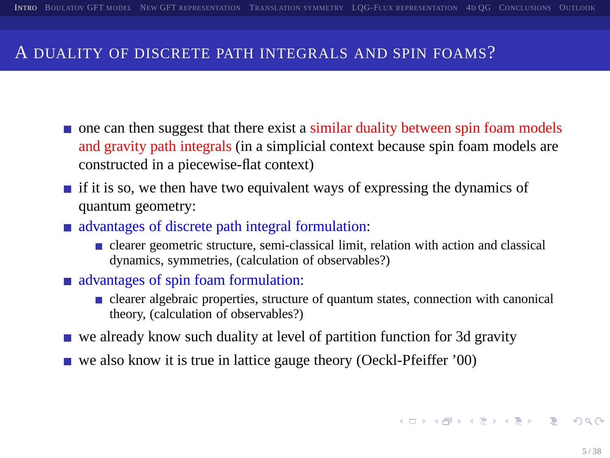#### A DUALITY OF DISCRETE PATH INTEGRALS AND SPIN FOAMS?

- **n** one can then suggest that there exist a similar duality between spin foam models and gravity path integrals (in a simplicial context because spin foam models are constructed in a piecewise-flat context)
- **if it is so, we then have two equivalent ways of expressing the dynamics of** quantum geometry:
- advantages of discrete path integral formulation:
	- clearer geometric structure, semi-classical limit, relation with action and classical dynamics, symmetries, (calculation of observables?)
- advantages of spin foam formulation:
	- $\blacksquare$  clearer algebraic properties, structure of quantum states, connection with canonical theory, (calculation of observables?)
- $\blacksquare$  we already know such duality at level of partition function for 3d gravity
- $\blacksquare$  we also know it is true in lattice gauge theory (Oeckl-Pfeiffer '00)

<span id="page-4-0"></span>**A DIA K PIA SA K PIA SA K PIA K PIA SA PIA SA PIA SA PIA SA PIA SA PIA SA PIA SA PIA SA PIA SA PIA SA PIA SA P**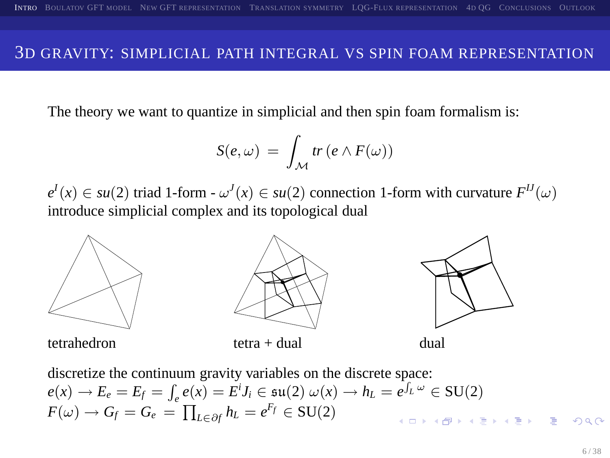#### 3D GRAVITY: SIMPLICIAL PATH INTEGRAL VS SPIN FOAM REPRESENTATION

The theory we want to quantize in simplicial and then spin foam formalism is:

$$
S(e,\omega) = \int_{\mathcal{M}} tr (e \wedge F(\omega))
$$

 $e^{I}(x) \in \mathfrak{su}(2)$  triad 1-form -  $\omega^{J}(x) \in \mathfrak{su}(2)$  connection 1-form with curvature  $F^{IJ}(\omega)$ introduce simplicial complex and its topological dual





<span id="page-5-0"></span>

discretize the continuum gravity variables on the discrete space:  $e(x) \rightarrow E_e = E_f = \int_e e(x) = E^i J_i \in \mathfrak{su}(2) \omega(x) \rightarrow h_L = e^{\int_L \omega} \in SU(2)$  $F(\omega) \rightarrow G_f = G_e = \prod_{L \in \partial f} h_L = e^{F_f} \in \text{SU}(2)$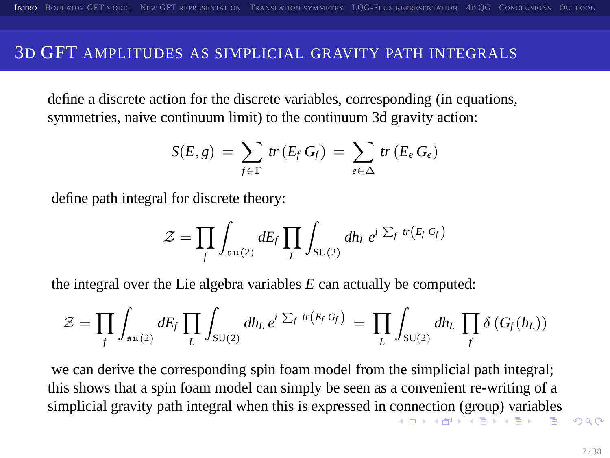#### 3D GFT AMPLITUDES AS SIMPLICIAL GRAVITY PATH INTEGRALS

define a discrete action for the discrete variables, corresponding (in equations, symmetries, naive continuum limit) to the continuum 3d gravity action:

$$
S(E,g) = \sum_{f \in \Gamma} tr(E_f G_f) = \sum_{e \in \Delta} tr(E_e G_e)
$$

define path integral for discrete theory:

<span id="page-6-0"></span>
$$
\mathcal{Z} = \prod_f \int_{s u(2)} dE_f \prod_L \int_{s U(2)} dh_L e^{i \sum_f r(E_f G_f)}
$$

the integral over the Lie algebra variables *E* can actually be computed:

$$
\mathcal{Z} = \prod_f \int_{\mathfrak{su}(2)} dE_f \prod_L \int_{\mathfrak{SU}(2)} dh_L e^{i \sum_f tr(F_f G_f)} = \prod_L \int_{\mathfrak{SU}(2)} dh_L \prod_f \delta(G_f(h_L))
$$

we can derive the corresponding spin foam model from the simplicial path integral; this shows that a spin foam model can simply be seen as a convenient re-writing of a simplicial gravity path integral when this is expressed in [con](#page-5-0)[nec](#page-7-0)[ti](#page-5-0)[on](#page-6-0) [\(](#page-7-0)[g](#page-1-0)[ro](#page-2-0)[u](#page-10-0)[p](#page-11-0)[\)](#page-1-0) [v](#page-2-0)[ar](#page-10-0)[ia](#page-11-0)[bl](#page-0-0)[es](#page-37-0)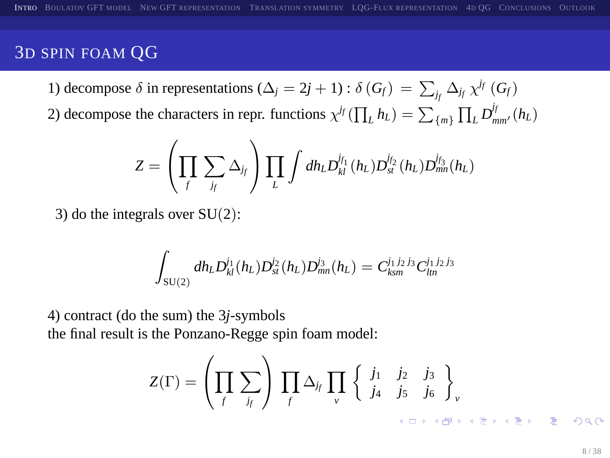## 3D SPIN FOAM QG

1) decompose *δ* in representations ( $\Delta_j = 2j + 1$ ) :  $\delta(G_f) = \sum_{j_f} \Delta_{j_f} \chi^{j_f}(G_f)$ 

2) decompose the characters in repr. functions  $\chi^{j_f}(\prod_L h_L) = \sum_{\{m\}} \prod_L D_{mm'}^{j_f}(h_L)$ 

$$
Z = \left(\prod_f \sum_{j_f} \Delta_{j_f}\right) \prod_L \int dh_L D^{j_{f_1}}_M(h_L) D^{j_{f_2}}_M(h_L) D^{j_{f_3}}_{mn}(h_L)
$$

3) do the integrals over  $SU(2)$ :

$$
\int_{\mathrm{SU}(2)} dh_L D^{j_1}_{kl}(h_L) D^{j_2}_{st}(h_L) D^{j_3}_{mn}(h_L) = C^{j_1\,j_2\,j_3}_{km} C^{j_1\,j_2\,j_3}_{lm}
$$

4) contract (do the sum) the 3*j*-symbols the final result is the Ponzano-Regge spin foam model:

<span id="page-7-0"></span>
$$
Z(\Gamma) = \left(\prod_f \sum_{j_f} \right) \prod_f \Delta_{j_f} \prod_v \left\{ \begin{array}{ccc} j_1 & j_2 & j_3 \\ j_4 & j_5 & j_6 \end{array} \right\}_v
$$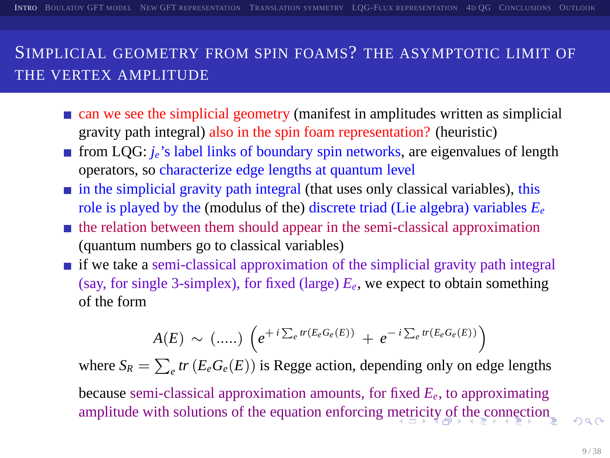## SIMPLICIAL GEOMETRY FROM SPIN FOAMS? THE ASYMPTOTIC LIMIT OF THE VERTEX AMPLITUDE

- **n** can we see the simplicial geometry (manifest in amplitudes written as simplicial gravity path integral) also in the spin foam representation? (heuristic)
- **from LQG:** *j<sub>e</sub>*'s label links of boundary spin networks, are eigenvalues of length operators, so characterize edge lengths at quantum level
- $\blacksquare$  in the simplicial gravity path integral (that uses only classical variables), this role is played by the (modulus of the) discrete triad (Lie algebra) variables *E<sup>e</sup>*
- $\blacksquare$  the relation between them should appear in the semi-classical approximation (quantum numbers go to classical variables)
- $\blacksquare$  if we take a semi-classical approximation of the simplicial gravity path integral (say, for single 3-simplex), for fixed (large)  $E_e$ , we expect to obtain something of the form

<span id="page-8-0"></span>
$$
A(E) \sim (.....) \left( e^{+i \sum_{e} tr(E_e G_e(E))} + e^{-i \sum_{e} tr(E_e G_e(E))} \right)
$$

where  $S_R = \sum_e tr(E_e G_e(E))$  is Regge action, depending only on edge lengths

because semi-classical approximation amounts, for fixed *Ee*, to approximating amplitude with solutions of the equation enforcing [met](#page-7-0)r[ici](#page-9-0)[ty](#page-7-0) [of](#page-8-0) [t](#page-9-0)[h](#page-1-0)[e](#page-2-0) [c](#page-10-0)[o](#page-11-0)[nn](#page-1-0)[e](#page-2-0)[c](#page-10-0)[ti](#page-11-0)[on](#page-0-0)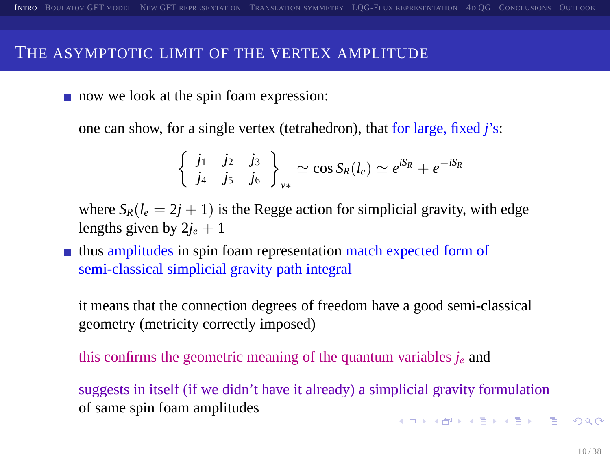#### THE ASYMPTOTIC LIMIT OF THE VERTEX AMPLITUDE

now we look at the spin foam expression:

one can show, for a single vertex (tetrahedron), that for large, fixed *j*'s:

$$
\begin{cases} j_1 & j_2 & j_3 \\ j_4 & j_5 & j_6 \end{cases}_{\nu*} \simeq \cos S_R(l_e) \simeq e^{iS_R} + e^{-iS_R}
$$

where  $S_R(l_e = 2j + 1)$  is the Regge action for simplicial gravity, with edge lengths given by  $2j_e + 1$ 

thus amplitudes in spin foam representation match expected form of semi-classical simplicial gravity path integral

it means that the connection degrees of freedom have a good semi-classical geometry (metricity correctly imposed)

this confirms the geometric meaning of the quantum variables  $j_e$  and

<span id="page-9-0"></span>suggests in itself (if we didn't have it already) a simplicial gravity formulation of same spin foam amplitudes **KORKARA CERKER ORA**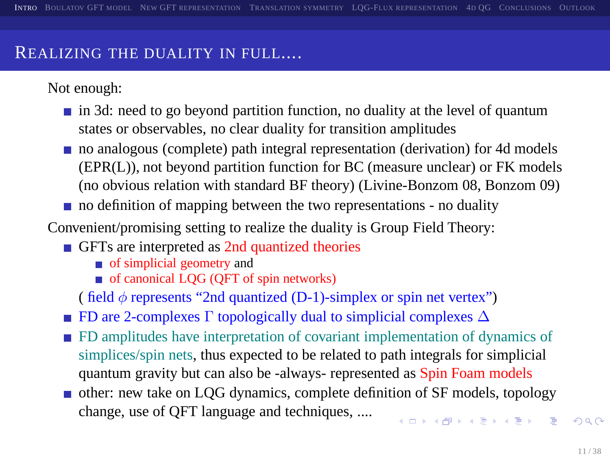#### REALIZING THE DUALITY IN FULL....

Not enough:

- $\blacksquare$  in 3d: need to go beyond partition function, no duality at the level of quantum states or observables, no clear duality for transition amplitudes
- no analogous (complete) path integral representation (derivation) for 4d models (EPR(L)), not beyond partition function for BC (measure unclear) or FK models (no obvious relation with standard BF theory) (Livine-Bonzom 08, Bonzom 09)
- no definition of mapping between the two representations no duality

Convenient/promising setting to realize the duality is Group Field Theory:

- GFTs are interpreted as 2nd quantized theories
	- of simplicial geometry and
	- $\blacksquare$  of canonical LQG (QFT of spin networks)

( field  $\phi$  represents "2nd quantized (D-1)-simplex or spin net vertex")

- **FD** are 2-complexes  $\Gamma$  topologically dual to simplicial complexes  $\Delta$
- FD amplitudes have interpretation of covariant implementation of dynamics of simplices/spin nets, thus expected to be related to path integrals for simplicial quantum gravity but can also be -always- represented as Spin Foam models
- <span id="page-10-0"></span>other: new take on LQG dynamics, complete definition of SF models, topology change, use of QFT language and techniques, ....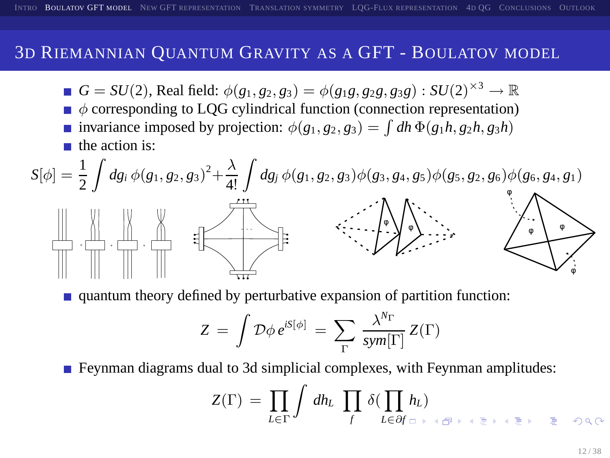#### 3D RIEMANNIAN QUANTUM GRAVITY AS A GFT - BOULATOV MODEL

- $G = SU(2)$ , Real field:  $\phi(g_1, g_2, g_3) = \phi(g_1g, g_2g, g_3g) : SU(2)^{\times 3} \to \mathbb{R}$
- $\bullet$   $\phi$  corresponding to LQG cylindrical function (connection representation) invariance imposed by projection:  $\phi(g_1, g_2, g_3) = \int dh \Phi(g_1 h, g_2 h, g_3 h)$
- the action is:



quantum theory defined by perturbative expansion of partition function:

$$
Z = \int \mathcal{D}\phi \, e^{iS[\phi]} = \sum_{\Gamma} \frac{\lambda^{N_{\Gamma}}}{sym[\Gamma]} \, Z(\Gamma)
$$

■ Feynman diagrams dual to 3d simplicial complexes, with Feynman amplitudes:

<span id="page-11-0"></span>
$$
Z(\Gamma) \,=\, \prod_{L\in\,\Gamma} \int\,d h_L\,\,\prod_f\,\delta(\prod_{L\in\partial f}\,h_L) \qquad \qquad \ \ \, \hskip1cm \newline\text{if}\,\,h_L\in\mathcal{H}\, \hbox{ and } \qquad \ \ \, \forall\,k\in\mathbb{N}\, \hbox{ and } \qquad \ \ \, \exists\,k\in\mathbb{N}\, \hbox{ and } \qquad \ \ \, \exists\,k\in\mathbb{N}\, \hbox{ and } \qquad \ \ \, \exists\,k\in\mathbb{N}\, \hbox{ and } \qquad \ \ \, \exists\,k\in\mathbb{N}\, \hbox{ and } \qquad \ \ \, \exists\,k\in\mathbb{N}\, \hbox{ and } \qquad \ \ \, \exists\,k\in\mathbb{N}\, \hbox{ and } \qquad \ \ \, \exists\,k\in\mathbb{N}\, \hbox{ and } \qquad \ \ \, \exists\,k\in\mathbb{N}\, \hbox{ and } \qquad \ \ \, \exists\,k\in\mathbb{N}\, \hbox{ and } \qquad \ \ \, \exists\,k\in\mathbb{N}\, \hbox{ and } \qquad \ \ \, \exists\,k\in\mathbb{N}\, \hbox{ and } \qquad \ \ \, \exists\,k\in\mathbb{N}\, \hbox{ and } \qquad \ \ \, \exists\,k\in\mathbb{N}\, \hbox{ and } \qquad \ \ \, \exists\,k\in\mathbb{N}\, \hbox{ and } \qquad \ \ \, \exists\,k\in\mathbb{N}\, \hbox{ and } \qquad \ \ \, \exists\,k\in\mathbb{N}\, \hbox{ and } \qquad \ \ \, \exists\,k\in\mathbb{N}\, \hbox{ and } \qquad \ \ \, \exists\,k\in\mathbb{N}\, \hbox{ and } \qquad \ \, \exists\,k\in\mathbb{N}\, \hbox{ and } \qquad \ \ \, \exists\,k\in\mathbb{N}\, \hbox{ and } \qquad \ \ \, \exists\,k\in\mathbb{N}\, \hbox{ and } \qquad \ \, \exists\,k\in\mathbb{N}\, \hbox{ and } \qquad \ \
$$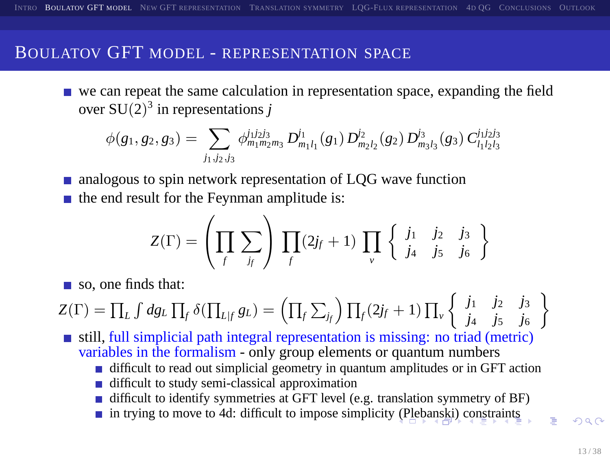#### BOULATOV GFT MODEL - REPRESENTATION SPACE

we can repeat the same calculation in representation space, expanding the field over  $SU(2)^3$  in representations *j* 

$$
\phi(g_1, g_2, g_3) = \sum_{j_1, j_2, j_3} \phi_{m_1 m_2 m_3}^{j_1 j_2 j_3} D_{m_1 l_1}^{j_1}(g_1) D_{m_2 l_2}^{j_2}(g_2) D_{m_3 l_3}^{j_3}(g_3) C_{l_1 l_2 l_3}^{j_1 j_2 j_3}
$$

■ analogous to spin network representation of LQG wave function

 $\blacksquare$  the end result for the Feynman amplitude is:

$$
Z(\Gamma) = \left(\prod_f \sum_{j_f} \right) \prod_f (2j_f+1) \prod_v \left\{ \begin{array}{ccc} j_1 & j_2 & j_3 \\ j_4 & j_5 & j_6 \end{array} \right\}
$$

so, one finds that:

$$
Z(\Gamma) = \prod_{L} \int dg_{L} \prod_{f} \delta(\prod_{L \mid f} g_{L}) = \left(\prod_{f} \sum_{j_{f}}\right) \prod_{f} (2j_{f} + 1) \prod_{v} \left\{ \begin{array}{ccc} j_{1} & j_{2} & j_{3} \\ j_{4} & j_{5} & j_{6} \end{array} \right\}
$$

 $\blacksquare$  still, full simplicial path integral representation is missing: no triad (metric) variables in the formalism - only group elements or quantum numbers

- difficult to read out simplicial geometry in quantum amplitudes or in GFT action
- difficult to study semi-classical approximation
- difficult to identify symmetries at GFT level (e.g. translation symmetry of BF)
- <span id="page-12-0"></span>in trying to move to 4d: difficult to impose simplicit[y \(P](#page-11-0)l[eb](#page-13-0)[an](#page-11-0)[ski](#page-12-0)[\)](#page-13-0) [co](#page-10-0)[n](#page-11-0)[st](#page-12-0)[ra](#page-13-0)[in](#page-10-0)[t](#page-11-0)[s](#page-12-0)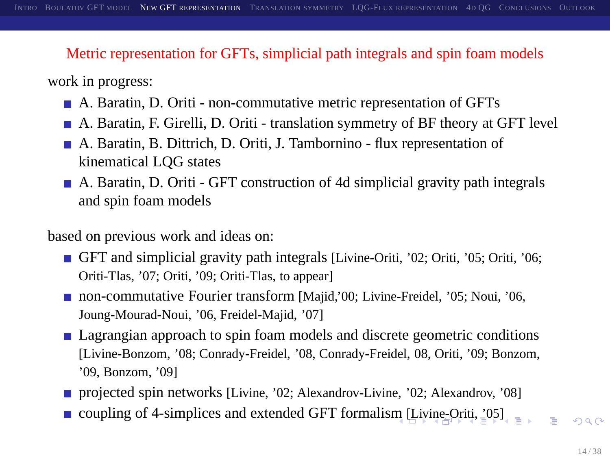#### Metric representation for GFTs, simplicial path integrals and spin foam models

work in progress:

- A. Baratin, D. Oriti non-commutative metric representation of GFTs
- A. Baratin, F. Girelli, D. Oriti translation symmetry of BF theory at GFT level
- A. Baratin, B. Dittrich, D. Oriti, J. Tambornino flux representation of kinematical LQG states
- A. Baratin, D. Oriti GFT construction of 4d simplicial gravity path integrals and spin foam models

based on previous work and ideas on:

- GFT and simplicial gravity path integrals [Livine-Oriti, '02; Oriti, '05; Oriti, '06; Oriti-Tlas, '07; Oriti, '09; Oriti-Tlas, to appear]
- non-commutative Fourier transform [Majid,'00; Livine-Freidel, '05; Noui, '06, Joung-Mourad-Noui, '06, Freidel-Majid, '07]
- Lagrangian approach to spin foam models and discrete geometric conditions [Livine-Bonzom, '08; Conrady-Freidel, '08, Conrady-Freidel, 08, Oriti, '09; Bonzom, '09, Bonzom, '09]
- **projected spin networks [Livine, '02; Alexandrov-Livine, '02; Alexandrov, '08]**
- coupling of 4-si[m](#page-12-0)plices and extended GFT formalism [[Liv](#page-14-0)[in](#page-12-0)[e-O](#page-13-0)[r](#page-14-0)[iti](#page-12-0)[,](#page-13-0)  $\frac{1}{2}$ [0[5](#page-19-0)[\]](#page-12-0)

<span id="page-13-0"></span> $\eta$ are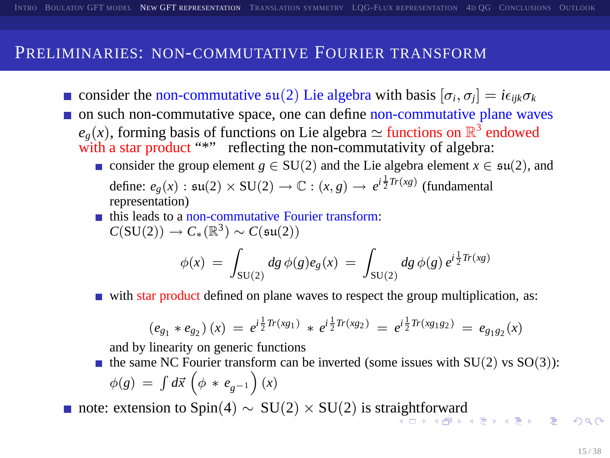#### PRELIMINARIES: NON-COMMUTATIVE FOURIER TRANSFORM

- consider the non-commutative  $\mathfrak{su}(2)$  Lie algebra with basis  $[\sigma_i, \sigma_j] = i\epsilon_{ijk}\sigma_k$
- on such non-commutative space, one can define non-commutative plane waves  $e_g(x)$ , forming basis of functions on Lie algebra  $\simeq$  functions on  $\mathbb{R}^3$  endowed with a star product "\*" reflecting the non-commutativity of algebra:
	- consider the group element  $g \in SU(2)$  and the Lie algebra element  $x \in SU(2)$ , and define:  $e_g(x)$ :  $\mathfrak{su}(2) \times \mathrm{SU}(2) \to \mathbb{C}$ :  $(x, g) \to e^{i \frac{1}{2} Tr(xy)}$  (fundamental representation)
	- $\blacksquare$  this leads to a non-commutative Fourier transform:  $C(SU(2)) \rightarrow C_*(\mathbb{R}^3) \sim C(\mathfrak{su}(2))$

<span id="page-14-0"></span>
$$
\phi(x) = \int_{SU(2)} dg \, \phi(g)e_g(x) = \int_{SU(2)} dg \, \phi(g) \, e^{i\frac{1}{2}Tr(xg)}
$$

 $\blacksquare$  with star product defined on plane waves to respect the group multiplication, as:

$$
(e_{g_1} * e_{g_2}) (x) = e^{i \frac{1}{2} Tr(xg_1)} * e^{i \frac{1}{2} Tr(xg_2)} = e^{i \frac{1}{2} Tr(xg_1g_2)} = e_{g_1g_2}(x)
$$

and by linearity on generic functions

- the same NC Fourier transform can be inverted (some issues with  $SU(2)$  vs  $SO(3)$ ):  $\phi(g) = \int d\vec{x} \, (\phi * e_{g^{-1}})(x)$
- note: extension to Spin(4) ~ SU(2) × SU(2) is str[aig](#page-13-0)h[tfo](#page-15-0)[r](#page-13-0)[wa](#page-14-0)[rd](#page-15-0)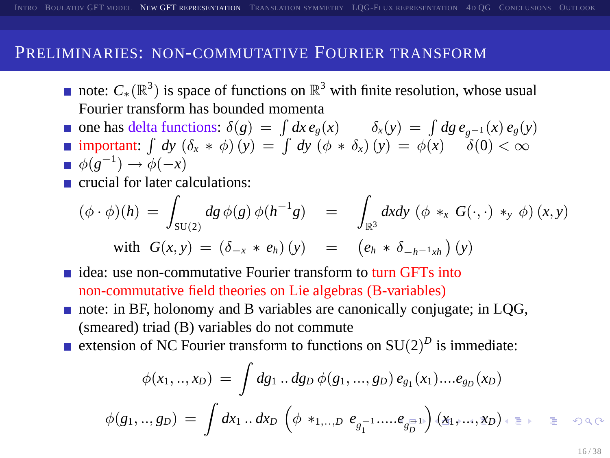## PRELIMINARIES: NON-COMMUTATIVE FOURIER TRANSFORM

- note:  $C_*(\mathbb{R}^3)$  is space of functions on  $\mathbb{R}^3$  with finite resolution, whose usual Fourier transform has bounded momenta
- one has delta functions:  $\delta(g) = \int dx e_g(x)$   $\delta_x(y) = \int dg e_{g^{-1}}(x) e_g(y)$ important:  $\int dy (\delta_x * \phi)(y) = \int dy (\phi * \delta_x)(y) = \phi(x) \quad \delta(0) < \infty$  $\phi(g^{-1}) \to \phi(-x)$
- crucial for later calculations:

$$
(\phi \cdot \phi)(h) = \int_{SU(2)} dg \, \phi(g) \, \phi(h^{-1}g) = \int_{\mathbb{R}^3} dxdy \, (\phi *_{x} G(\cdot, \cdot) *_{y} \phi)(x, y)
$$
  
with 
$$
G(x, y) = (\delta_{-x} * e_{h})(y) = (e_{h} * \delta_{-h^{-1}xh})(y)
$$

- $\blacksquare$  idea: use non-commutative Fourier transform to turn GFTs into non-commutative field theories on Lie algebras (B-variables)
- note: in BF, holonomy and B variables are canonically conjugate; in LQG, (smeared) triad (B) variables do not commute
- extension of NC Fourier transform to functions on  $SU(2)^{D}$  is immediate:

<span id="page-15-0"></span>
$$
\phi(x_1,..,x_D) = \int dg_1..dg_D \phi(g_1,...,g_D) e_{g_1}(x_1)....e_{g_D}(x_D)
$$
  

$$
\phi(g_1,..,g_D) = \int dx_1..dx_D \left(\phi *_{1,..,D} e_{g_1^{-1}}.....e_{g_D^{-1}}\right) \left(\chi_1,...,\chi_D\right) \iff \Rightarrow \phi \in \mathcal{E}
$$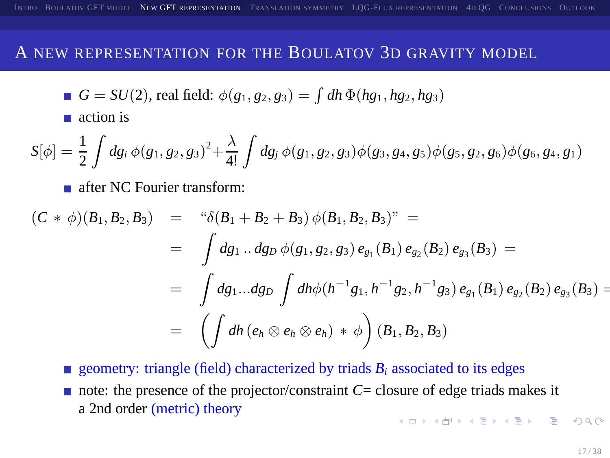#### A NEW REPRESENTATION FOR THE BOULATOV 3D GRAVITY MODEL

■ 
$$
G = SU(2)
$$
, real field:  $\phi(g_1, g_2, g_3) = \int dh \Phi(hg_1, hg_2, hg_3)$ 

action is

$$
S[\phi] = \frac{1}{2} \int dg_i \, \phi(g_1, g_2, g_3)^2 + \frac{\lambda}{4!} \int dg_j \, \phi(g_1, g_2, g_3) \phi(g_3, g_4, g_5) \phi(g_5, g_2, g_6) \phi(g_6, g_4, g_1)
$$

**a** after NC Fourier transform:

$$
(C * \phi)(B_1, B_2, B_3) = " \delta(B_1 + B_2 + B_3) \phi(B_1, B_2, B_3)" =
$$
  
= 
$$
\int dg_1 ... dg_D \phi(g_1, g_2, g_3) e_{g_1}(B_1) e_{g_2}(B_2) e_{g_3}(B_3) =
$$
  
= 
$$
\int dg_1 ... dg_D \int dh \phi(h^{-1}g_1, h^{-1}g_2, h^{-1}g_3) e_{g_1}(B_1) e_{g_2}(B_2) e_{g_3}(B_3) =
$$
  
= 
$$
\left(\int dh (e_h \otimes e_h \otimes e_h) * \phi\right) (B_1, B_2, B_3)
$$

<span id="page-16-0"></span>geometry: triangle (field) characterized by triads  $B_i$  associated to its edges note: the presence of the projector/constraint  $C =$  closure of edge triads makes it a 2nd order (metric) theory **A DIA K PIA SA K PIA SA K PIA K PIA SA PIA SA PIA SA PIA SA PIA SA PIA SA PIA SA PIA SA PIA SA PIA SA PIA SA P**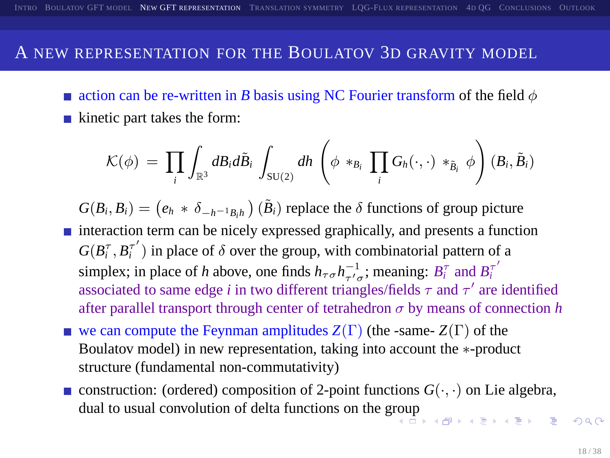#### A NEW REPRESENTATION FOR THE BOULATOV 3D GRAVITY MODEL

action can be re-written in *B* basis using NC Fourier transform of the field  $\phi$  $\blacksquare$  kinetic part takes the form:

$$
\mathcal{K}(\phi) \ = \ \prod_i \int_{\mathbb{R}^3} d B_i d \tilde{B}_i \int_{\mathrm{SU}(2)} dh \left( \phi \ast_{B_i} \ \prod_i G_h(\cdot, \cdot) \ast_{\tilde{B}_i} \phi \right) (B_i, \tilde{B}_i)
$$

 $G(B_i, B_i) = (e_h * \delta_{-h^{-1}B_ih})(\tilde{B}_i)$  replace the  $\delta$  functions of group picture

- interaction term can be nicely expressed graphically, and presents a function  $G(B_i^{\tau}, B_i^{\tau'})$  in place of  $\delta$  over the group, with combinatorial pattern of a simplex; in place of *h* above, one finds  $h_{\tau\sigma}h_{\tau/\sigma}^{-1}$ ; meaning:  $B_i^{\tau}$  and  $B_i^{\tau'}$ *i* associated to same edge *i* in two different triangles/fields  $\tau$  and  $\tau'$  are identified after parallel transport through center of tetrahedron  $\sigma$  by means of connection *h*
- we can compute the Feynman amplitudes  $Z(\Gamma)$  (the -same-  $Z(\Gamma)$  of the Boulatov model) in new representation, taking into account the ∗-product structure (fundamental non-commutativity)
- construction: (ordered) composition of 2-point functions  $G(\cdot, \cdot)$  on Lie algebra, dual to usual convolution of delta functions on the g[rou](#page-16-0)[p](#page-18-0)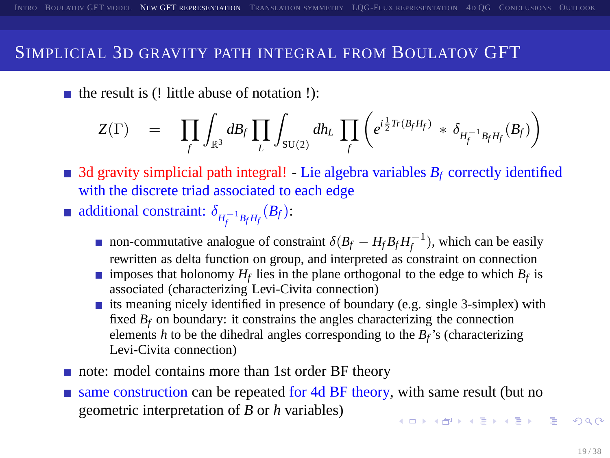## SIMPLICIAL 3D GRAVITY PATH INTEGRAL FROM BOULATOV GFT

 $\blacksquare$  the result is (! little abuse of notation !):

$$
Z(\Gamma) = \prod_{f} \int_{\mathbb{R}^3} dB_f \prod_L \int_{SU(2)} dh_L \prod_{f} \left( e^{i\frac{1}{2} Tr(B_f H_f)} * \delta_{H_f^{-1}B_f H_f}(B_f) \right)
$$

3d gravity simplicial path integral! - Lie algebra variables  $B_f$  correctly identified with the discrete triad associated to each edge

- additional constraint:  $\delta_{H_f^{-1}B_fH_f}(B_f)$ :
	- non-commutative analogue of constraint  $\delta(B_f H_f B_f H_f^{-1})$ , which can be easily rewritten as delta function on group, and interpreted as constraint on connection
	- imposes that holonomy  $H_f$  lies in the plane orthogonal to the edge to which  $B_f$  is associated (characterizing Levi-Civita connection)
	- its meaning nicely identified in presence of boundary (e.g. single 3-simplex) with fixed  $B_f$  on boundary: it constrains the angles characterizing the connection elements  $h$  to be the dihedral angles corresponding to the  $B_f$ 's (characterizing Levi-Civita connection)
- note: model contains more than 1st order BF theory
- <span id="page-18-0"></span>same construction can be repeated for 4d BF theory, with same result (but no geometric interpretation of *B* or *h* variables) **KORKA EXKEY EL VAN**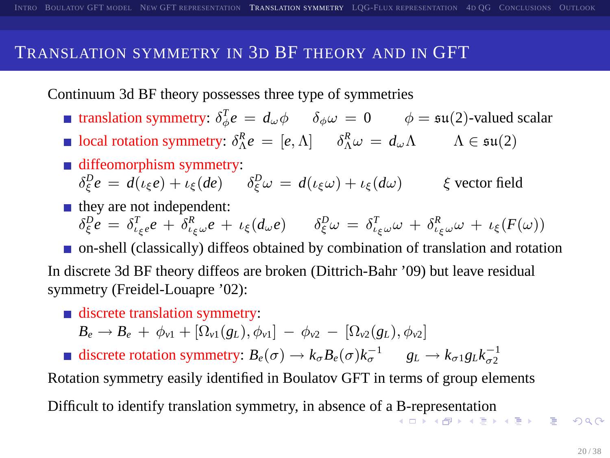#### TRANSLATION SYMMETRY IN 3D BF THEORY AND IN GFT

Continuum 3d BF theory possesses three type of symmetries

- translation symmetry:  $\delta_{\phi}^{T} e = d_{\omega} \phi$   $\delta_{\phi} \omega = 0$   $\phi = \mathfrak{su}(2)$ -valued scalar
- local rotation symmetry:  $\delta_{\Lambda}^{R} e = [e, \Lambda]$   $\delta_{\Lambda}^{R} \omega = d_{\omega} \Lambda$   $\Lambda \in \mathfrak{su}(2)$
- diffeomorphism symmetry:

 $\delta_{\xi}^{D} e = d(\iota_{\xi} e) + \iota_{\xi} (de)$   $\delta_{\xi}^{D} \omega = d(\iota_{\xi} \omega) + \iota_{\xi} (d\omega)$   $\xi$  vector field

 $\blacksquare$  they are not independent:

 $\delta^D_\xi e = \delta^T_{\iota_\xi e} e + \delta^R_{\iota_\xi \omega} e + \iota_\xi (d_\omega e) \quad \delta^D_\xi \omega = \delta^T_{\iota_\xi \omega} \omega + \delta^R_{\iota_\xi \omega} \omega + \iota_\xi (F(\omega))$ 

on-shell (classically) diffeos obtained by combination of translation and rotation In discrete 3d BF theory diffeos are broken (Dittrich-Bahr '09) but leave residual symmetry (Freidel-Louapre '02):

discrete translation symmetry:

<span id="page-19-0"></span> $B_e \rightarrow B_e + \phi_{v1} + [\Omega_{v1}(g_L), \phi_{v1}] - \phi_{v2} - [\Omega_{v2}(g_L), \phi_{v2}]$ 

discrete rotation symmetry:  $B_e(\sigma) \to k_{\sigma} B_e(\sigma) k_{\sigma}^{-1}$   $g_L \to k_{\sigma 1} g_L k_{\sigma 2}^{-1}$ 

Rotation symmetry easily identified in Boulatov GFT in terms of group elements Difficult to identify translation symmetry, in absence of a [B-](#page-18-0)r[ep](#page-20-0)[r](#page-18-0)[ese](#page-19-0)[nt](#page-20-0)[a](#page-18-0)[ti](#page-19-0)[o](#page-21-0)[n](#page-22-0)<br> $\longleftrightarrow$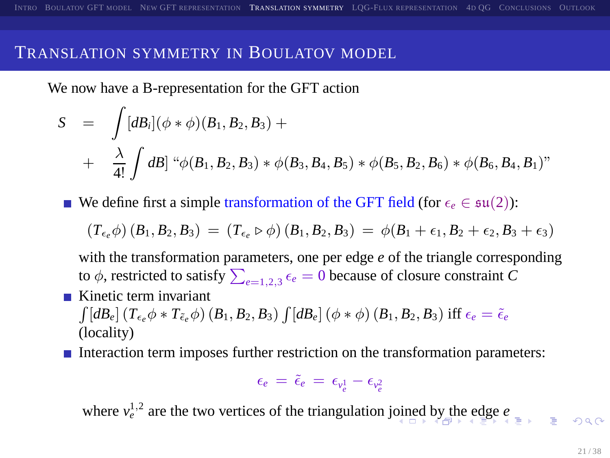### TRANSLATION SYMMETRY IN BOULATOV MODEL

We now have a B-representation for the GFT action

$$
S = \int [dB_i](\phi * \phi)(B_1, B_2, B_3) +
$$
  
+  $\frac{\lambda}{4!} \int dB \rbrack \rbrack^4 \phi(B_1, B_2, B_3) * \phi(B_3, B_4, B_5) * \phi(B_5, B_2, B_6) * \phi(B_6, B_4, B_1)"$ 

■ We define first a simple transformation of the GFT field (for  $\epsilon_e \in \mathfrak{su}(2)$ ):

$$
\left(T_{\varepsilon_e}\phi\right)\left(B_1,B_2,B_3\right) \,=\, \left(T_{\varepsilon_e}\triangleright\phi\right)\left(B_1,B_2,B_3\right) \,=\, \phi(B_1+\varepsilon_1,B_2+\varepsilon_2,B_3+\varepsilon_3)
$$

with the transformation parameters, one per edge *e* of the triangle corresponding to  $\phi$ , restricted to satisfy  $\sum_{e=1,2,3} \epsilon_e = 0$  because of closure constraint *C* 

- $\blacksquare$  Kinetic term invariant  $\int\left[dB_{e}\right]\left(T_{\epsilon_{e}}\phi\ast T_{\tilde{\epsilon}_{e}}\phi\right)\left(B_{1},B_{2},B_{3}\right)\int\left[dB_{e}\right]\left(\phi\ast\phi\right)\left(B_{1},B_{2},B_{3}\right)$  iff  $\epsilon_{e}=\tilde{\epsilon}_{e}$ (locality)
- Interaction term imposes further restriction on the transformation parameters:

<span id="page-20-0"></span>
$$
\epsilon_e\,=\,\tilde{\epsilon}_e\,=\,\epsilon_{\nu_e^1}-\epsilon_{\nu_e^2}
$$

w[he](#page-21-0)re $v_e^{1,2}$  $v_e^{1,2}$  $v_e^{1,2}$  are the two vertices of the triangulation j[oin](#page-19-0)[ed](#page-19-0) [b](#page-19-0)[y t](#page-20-0)he ed[g](#page-21-0)e  $e$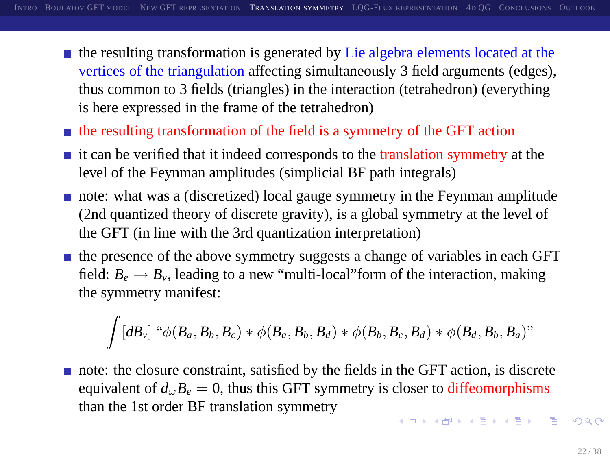- the resulting transformation is generated by Lie algebra elements located at the vertices of the triangulation affecting simultaneously 3 field arguments (edges), thus common to 3 fields (triangles) in the interaction (tetrahedron) (everything is here expressed in the frame of the tetrahedron)
- $\blacksquare$  the resulting transformation of the field is a symmetry of the GFT action
- $\blacksquare$  it can be verified that it indeed corresponds to the translation symmetry at the level of the Feynman amplitudes (simplicial BF path integrals)
- note: what was a (discretized) local gauge symmetry in the Feynman amplitude (2nd quantized theory of discrete gravity), is a global symmetry at the level of the GFT (in line with the 3rd quantization interpretation)
- $\blacksquare$  the presence of the above symmetry suggests a change of variables in each GFT field:  $B_e \rightarrow B_\nu$ , leading to a new "multi-local" form of the interaction, making the symmetry manifest:

<span id="page-21-0"></span>
$$
\int [dB_{\nu}] \ ^{\alpha}\phi(B_{a},B_{b},B_{c}) \ast \phi(B_{a},B_{b},B_{d}) \ast \phi(B_{b},B_{c},B_{d}) \ast \phi(B_{d},B_{b},B_{a})"
$$

note: the closure constraint, satisfied by the fields in the GFT action, is discrete equivalent of  $d_{\omega}B_e = 0$ , thus this GFT symmetry is closer to diffeomorphisms than the 1st order BF translation symmetry **A DIA K PIA SA K PIA SA K PIA K PIA SA PIA SA PIA SA PIA SA PIA SA PIA SA PIA SA PIA SA PIA SA PIA SA PIA SA P**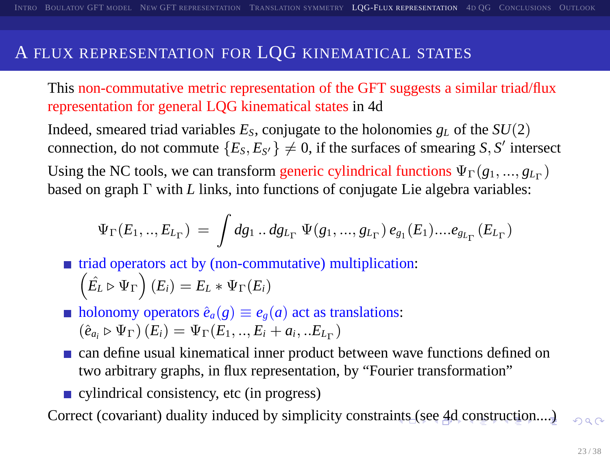### A FLUX REPRESENTATION FOR LQG KINEMATICAL STATES

This non-commutative metric representation of the GFT suggests a similar triad/flux representation for general LQG kinematical states in 4d

Indeed, smeared triad variables  $E_S$ , conjugate to the holonomies  $g_L$  of the  $SU(2)$ connection, do not commute  ${E_S, E_{S'} \neq 0}$ , if the surfaces of smearing *S*, *S'* intersect Using the NC tools, we can transform generic cylindrical functions  $\Psi_{\Gamma}(g_1, ..., g_{L_{\Gamma}})$ based on graph Γ with *L* links, into functions of conjugate Lie algebra variables:

$$
\Psi_{\Gamma}(E_1,..,E_{L_{\Gamma}}) = \int dg_1..dg_{L_{\Gamma}} \Psi(g_1,...,g_{L_{\Gamma}}) e_{g_1}(E_1)....e_{g_{L_{\Gamma}}}(E_{L_{\Gamma}})
$$

 $\blacksquare$  triad operators act by (non-commutative) multiplication:  $(\hat{E_L} \triangleright \Psi_{\Gamma}) (E_i) = E_L * \Psi_{\Gamma}(E_i)$ 

 $\blacksquare$  holonomy operators  $\hat{e}_a(g) \equiv e_g(a)$  act as translations:  $(\hat{e}_{a_i} \triangleright \Psi_{\Gamma}) (E_i) = \Psi_{\Gamma}(E_1, ..., E_i + a_i, ... E_{L_{\Gamma}})$ 

- can define usual kinematical inner product between wave functions defined on two arbitrary graphs, in flux representation, by "Fourier transformation"
- <span id="page-22-0"></span>cylindrical consistency, etc (in progress)

Correct (covariant) duality induced by simplicity constra[ints](#page-21-0) [\(se](#page-23-0)[e](#page-21-0) [4d](#page-22-0)[co](#page-21-0)[ns](#page-22-0)[tr](#page-23-0)[u](#page-21-0)[ctio](#page-22-0)[n](#page-23-0)[....](#page-0-0)[\)](#page-37-0)  $2990$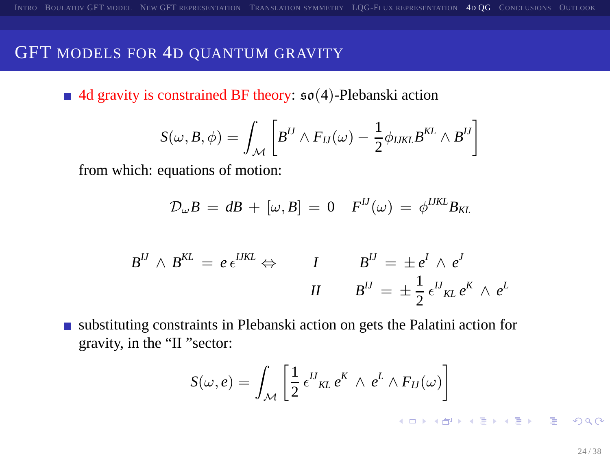#### GFT MODELS FOR 4D QUANTUM GRAVITY

4d gravity is constrained BF theory:  $\mathfrak{so}(4)$ -Plebanski action

$$
S(\omega, B, \phi) = \int_{\mathcal{M}} \left[ B^{IJ} \wedge F_{IJ}(\omega) - \frac{1}{2} \phi_{IJKL} B^{KL} \wedge B^{IJ} \right]
$$

from which: equations of motion:

$$
\mathcal{D}_{\omega}B = dB + [\omega, B] = 0 \quad F^{IJ}(\omega) = \phi^{IJKL}B_{KL}
$$

$$
B^{IJ} \wedge B^{KL} = e \epsilon^{IJKL} \Leftrightarrow \qquad I \qquad B^{IJ} = \pm e^I \wedge e^J
$$

$$
II \qquad B^{IJ} = \pm \frac{1}{2} \epsilon^{IJ}{}_{KL} e^K \wedge e^L
$$

substituting constraints in Plebanski action on gets the Palatini action for gravity, in the "II "sector:

$$
S(\omega, e) = \int_{\mathcal{M}} \left[ \frac{1}{2} \epsilon^U_{KL} e^K \wedge e^L \wedge F_U(\omega) \right]
$$

<span id="page-23-0"></span>**K ロ ▶ K @ ▶ K 콜 ▶ K 콜 ▶ - 콜 - 외 의 Q Q ·**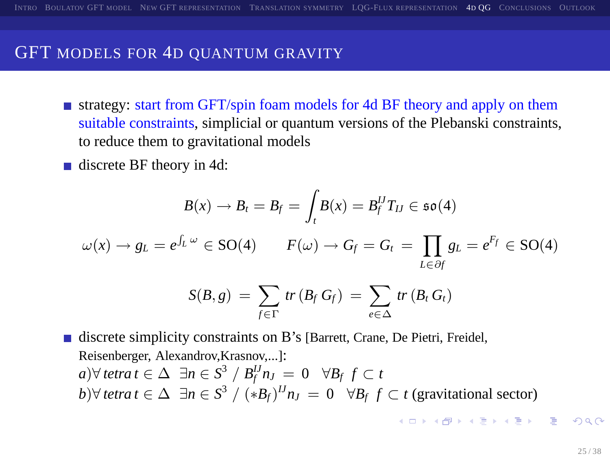#### GFT MODELS FOR 4D QUANTUM GRAVITY

- **strategy: start from GFT/spin foam models for 4d BF theory and apply on them** suitable constraints, simplicial or quantum versions of the Plebanski constraints, to reduce them to gravitational models
- discrete BF theory in 4d:

$$
B(x) \to B_t = B_f = \int_t B(x) = B_f^U T_U \in \mathfrak{so}(4)
$$

$$
\omega(x) \to g_L = e^{\int_L \omega} \in \mathcal{SO}(4) \qquad F(\omega) \to G_f = G_t = \prod_{L \in \partial f} g_L = e^{F_f} \in \mathcal{SO}(4)
$$

$$
S(B,g) = \sum_{f \in \Gamma} tr(B_f G_f) = \sum_{e \in \Delta} tr(B_f G_f)
$$

discrete simplicity constraints on B's [Barrett, Crane, De Pietri, Freidel, Reisenberger, Alexandrov,Krasnov,...]: *a*)∀ *tetra*  $t \in \Delta$   $\exists n \in S^3 / B_f^{IJ} n_J = 0$   $\forall B_f \ f \subset t$ *b*)∀ *tetra*  $t \in \Delta$  ∃*n* ∈  $S^3$  /  $(*B_f)^{IJ} n_J = 0$  ∀B<sub>f</sub>  $f \subset t$  (gravitational sector)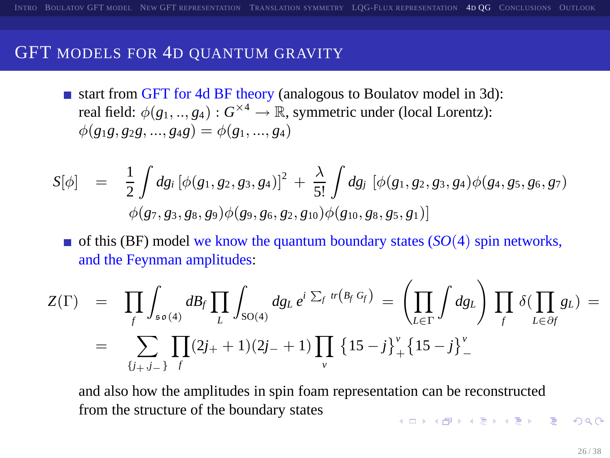#### GFT MODELS FOR 4D QUANTUM GRAVITY

start from GFT for 4d BF theory (analogous to Boulatov model in 3d): real field:  $\phi(g_1,..,g_4): G^{\times 4} \to \mathbb{R}$ , symmetric under (local Lorentz):  $\phi(g_1g, g_2g, ..., g_4g) = \phi(g_1, ..., g_4)$ 

$$
S[\phi] = \frac{1}{2} \int dg_i \left[ \phi(g_1, g_2, g_3, g_4) \right]^2 + \frac{\lambda}{5!} \int dg_i \left[ \phi(g_1, g_2, g_3, g_4) \phi(g_4, g_5, g_6, g_7) \right] \phi(g_7, g_3, g_8, g_9) \phi(g_9, g_6, g_2, g_{10}) \phi(g_{10}, g_8, g_5, g_1)]
$$

 $\blacksquare$  of this (BF) model we know the quantum boundary states (*SO*(4) spin networks, and the Feynman amplitudes:

$$
Z(\Gamma) = \prod_{f} \int_{s \circ (4)} dB_{f} \prod_{L} \int_{SO(4)} dg_{L} e^{i \sum_{f} tr(B_{f} G_{f})} = \left( \prod_{L \in \Gamma} \int dg_{L} \right) \prod_{f} \delta(\prod_{L \in \partial f} g_{L}) =
$$
  
= 
$$
\sum_{\{j_{+}, j_{-}\}} \prod_{f} (2j_{+} + 1)(2j_{-} + 1) \prod_{v} \{15 - j\}_{+}^{v} \{15 - j\}_{-}^{v}
$$

and also how the amplitudes in spin foam representation can be reconstructed from the structure of the boundary states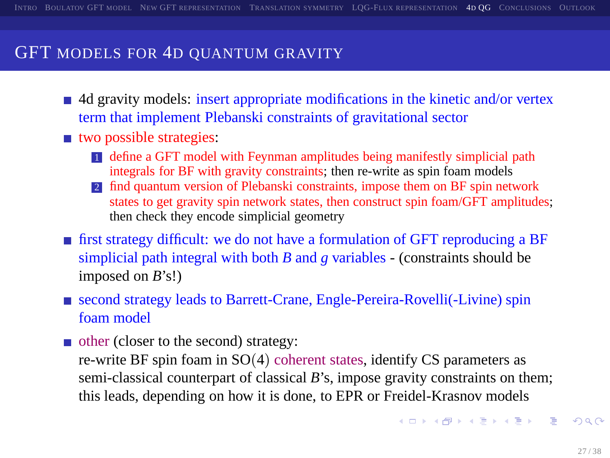### GFT MODELS FOR 4D OUANTUM GRAVITY

- $\blacksquare$  4d gravity models: insert appropriate modifications in the kinetic and/or vertex term that implement Plebanski constraints of gravitational sector
- two possible strategies:
	- 1 define a GFT model with Feynman amplitudes being manifestly simplicial path integrals for BF with gravity constraints; then re-write as spin foam models
	- 2 find quantum version of Plebanski constraints, impose them on BF spin network states to get gravity spin network states, then construct spin foam/GFT amplitudes; then check they encode simplicial geometry
- first strategy difficult: we do not have a formulation of GFT reproducing a BF simplicial path integral with both *B* and *g* variables - (constraints should be imposed on *B*'s!)
- second strategy leads to Barrett-Crane, Engle-Pereira-Rovelli(-Livine) spin foam model
- other (closer to the second) strategy:

re-write BF spin foam in SO(4) coherent states, identify CS parameters as semi-classical counterpart of classical *B*'s, impose gravity constraints on them; this leads, depending on how it is done, to EPR or Freidel-Krasnov models

<span id="page-26-0"></span>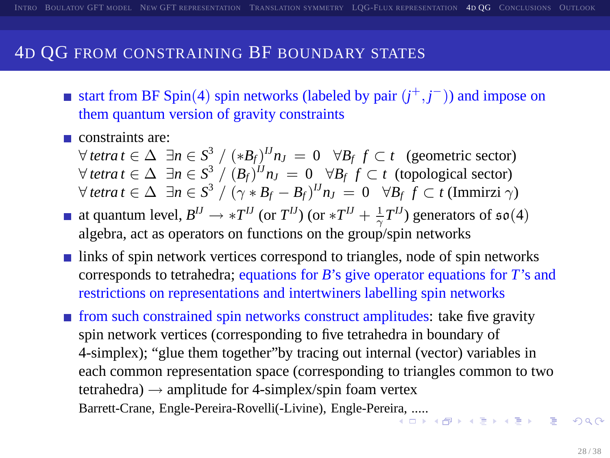### 4D QG FROM CONSTRAINING BF BOUNDARY STATES

- start from BF Spin(4) spin networks (labeled by pair  $(j^+, j^-)$ ) and impose on them quantum version of gravity constraints
- constraints are:

 $\forall$  *tetra t* ∈  $\Delta$   $\exists n \in S^3 / (\ast B_f)^{IJ} n_J = 0$   $\forall B_f$   $f \subset t$  (geometric sector) ∀ *tetra t* ∈  $\Delta$  ∃*n* ∈  $S^3$  /  $(B_f)^{IJ}$ *nJ* = 0 ∀*B<sub>f</sub> f* ⊂ *t* (topological sector)  $\forall$  tetra t  $\in$   $\Delta$   $\exists$ n  $\in$   $S^3$  /  $(\gamma *B_f - B_f)^{IJ}$ n $_J$  = 0  $\forall B_f$   $f$   $\subset$  t (Immirzi  $\gamma$ )

- at quantum level,  $B^{IJ} \to *T^{IJ}$  (or  $T^{IJ}$ ) (or  $*T^{IJ} + \frac{1}{\gamma}T^{IJ}$ ) generators of  $\mathfrak{so}(4)$ algebra, act as operators on functions on the group/spin networks
- links of spin network vertices correspond to triangles, node of spin networks corresponds to tetrahedra; equations for *B*'s give operator equations for *T*'s and restrictions on representations and intertwiners labelling spin networks
- <span id="page-27-0"></span>**from such constrained spin networks construct amplitudes: take five gravity** spin network vertices (corresponding to five tetrahedra in boundary of 4-simplex); "glue them together"by tracing out internal (vector) variables in each common representation space (corresponding to triangles common to two tetrahedra)  $\rightarrow$  amplitude for 4-simplex/spin foam vertex Barrett-Crane, Engle-Pereira-Rovelli(-Livine), Engle-Pere[ira,](#page-26-0) [....](#page-28-0).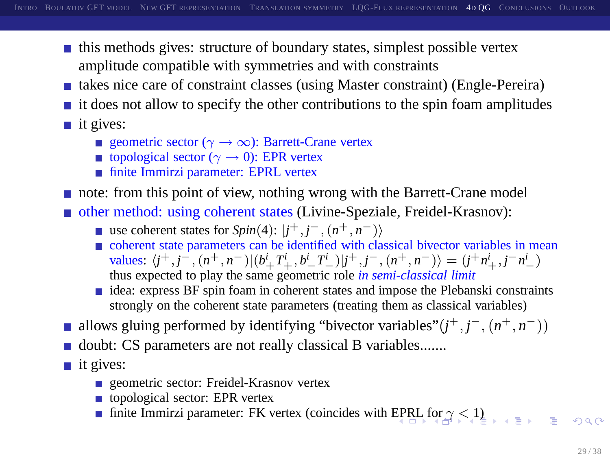- $\blacksquare$  this methods gives: structure of boundary states, simplest possible vertex amplitude compatible with symmetries and with constraints
- $\blacksquare$  takes nice care of constraint classes (using Master constraint) (Engle-Pereira)
- $\blacksquare$  it does not allow to specify the other contributions to the spin foam amplitudes
- $\blacksquare$  it gives:
	- geometric sector ( $\gamma \to \infty$ ): Barrett-Crane vertex
	- topological sector ( $\gamma \rightarrow 0$ ): EPR vertex
	- finite Immirzi parameter: EPRL vertex
- note: from this point of view, nothing wrong with the Barrett-Crane model

other method: using coherent states (Livine-Speziale, Freidel-Krasnov):

- use coherent states for  $Spin(4)$ :  $|j^+, j^-, (n^+, n^-)\rangle$
- coherent state parameters can be identified with classical bivector variables in mean values:  $\langle j^+, j^-, (n^+, n^-) | (b_+^i T_+^i, b_-^i T_-^i) | j^+, j^-, (n^+, n^-) \rangle = (j^+ n_+^i, j^- n_-^i)$ thus expected to play the same geometric role *in semi-classical limit*
- <span id="page-28-0"></span>idea: express BF spin foam in coherent states and impose the Plebanski constraints strongly on the coherent state parameters (treating them as classical variables)
- allows gluing performed by identifying "bivector variables" $(j^+, j^-, (n^+, n^-))$
- doubt: CS parameters are not really classical B variables.......
- $\blacksquare$  it gives:
	- **geometric sector: Freidel-Krasnov vertex**
	- topological sector: EPR vertex
	- **finite Immirzi parameter: FK vertex (coincides with [EPR](#page-27-0)[L f](#page-29-0)[o](#page-27-0)[r](#page-28-0)**  $\alpha \leq 1$ **)**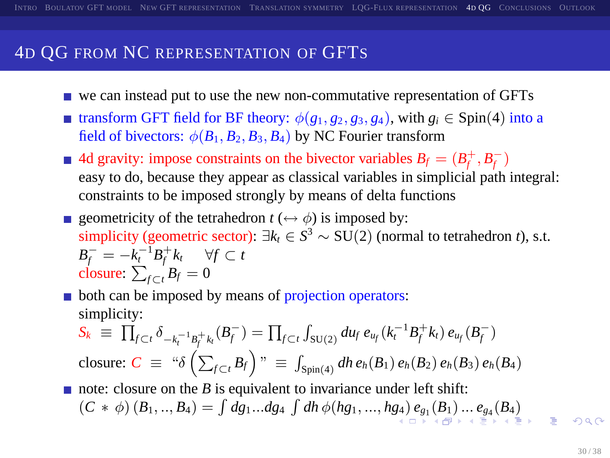- we can instead put to use the new non-commutative representation of GFTs
- **■** transform GFT field for BF theory:  $\phi(g_1, g_2, g_3, g_4)$ , with  $g_i$  ∈ Spin(4) into a field of bivectors:  $\phi(B_1, B_2, B_3, B_4)$  by NC Fourier transform
- 4d gravity: impose constraints on the bivector variables  $B_f = (B_f^+, B_f^-)$ easy to do, because they appear as classical variables in simplicial path integral: constraints to be imposed strongly by means of delta functions
- geometricity of the tetrahedron  $t \leftrightarrow \phi$  is imposed by: simplicity (geometric sector):  $\exists k_t \in S^3 \sim SU(2)$  (normal to tetrahedron *t*), s.t.  $B_f^- = -k_t^{-1}B_f^+k_t$   $\forall f \subset t$ closure:  $\sum_{f \subset t} B_f = 0$

both can be imposed by means of projection operators: simplicity:

<span id="page-29-0"></span>
$$
S_k \equiv \prod_{f \subset t} \delta_{-k_f^{-1}B_f^+k_f}(B_f^-) = \prod_{f \subset t} \int_{SU(2)} du_f \, e_{u_f}(k_i^{-1}B_f^+k_i) \, e_{u_f}(B_f^-)
$$
  
closure:  $C \equiv \text{``$\delta$} \left( \sum_{f \subset t} B_f \right)$ "  $\equiv \int_{Spin(4)} dh \, e_h(B_1) \, e_h(B_2) \, e_h(B_3) \, e_h(B_4)$ 

note: closure on the *B* is equivalent to invariance under left shift:  $(C * \phi) (B_1, ..., B_4) = \int dg_1...dg_4 \int dh \phi(hg_1, ..., hg_4) e_{g_1}(B_1) ... e_{g_4}(B_4)$  $(C * \phi) (B_1, ..., B_4) = \int dg_1...dg_4 \int dh \phi(hg_1, ..., hg_4) e_{g_1}(B_1) ... e_{g_4}(B_4)$  $(C * \phi) (B_1, ..., B_4) = \int dg_1...dg_4 \int dh \phi(hg_1, ..., hg_4) e_{g_1}(B_1) ... e_{g_4}(B_4)$  $(C * \phi) (B_1, ..., B_4) = \int dg_1...dg_4 \int dh \phi(hg_1, ..., hg_4) e_{g_1}(B_1) ... e_{g_4}(B_4)$  $(C * \phi) (B_1, ..., B_4) = \int dg_1...dg_4 \int dh \phi(hg_1, ..., hg_4) e_{g_1}(B_1) ... e_{g_4}(B_4)$  $(C * \phi) (B_1, ..., B_4) = \int dg_1...dg_4 \int dh \phi(hg_1, ..., hg_4) e_{g_1}(B_1) ... e_{g_4}(B_4)$  $(C * \phi) (B_1, ..., B_4) = \int dg_1...dg_4 \int dh \phi(hg_1, ..., hg_4) e_{g_1}(B_1) ... e_{g_4}(B_4)$  $(C * \phi) (B_1, ..., B_4) = \int dg_1...dg_4 \int dh \phi(hg_1, ..., hg_4) e_{g_1}(B_1) ... e_{g_4}(B_4)$  $(C * \phi) (B_1, ..., B_4) = \int dg_1...dg_4 \int dh \phi(hg_1, ..., hg_4) e_{g_1}(B_1) ... e_{g_4}(B_4)$  $(C * \phi) (B_1, ..., B_4) = \int dg_1...dg_4 \int dh \phi(hg_1, ..., hg_4) e_{g_1}(B_1) ... e_{g_4}(B_4)$  $(C * \phi) (B_1, ..., B_4) = \int dg_1...dg_4 \int dh \phi(hg_1, ..., hg_4) e_{g_1}(B_1) ... e_{g_4}(B_4)$  $(C * \phi) (B_1, ..., B_4) = \int dg_1...dg_4 \int dh \phi(hg_1, ..., hg_4) e_{g_1}(B_1) ... e_{g_4}(B_4)$  $(C * \phi) (B_1, ..., B_4) = \int dg_1...dg_4 \int dh \phi(hg_1, ..., hg_4) e_{g_1}(B_1) ... e_{g_4}(B_4)$  $(C * \phi) (B_1, ..., B_4) = \int dg_1...dg_4 \int dh \phi(hg_1, ..., hg_4) e_{g_1}(B_1) ... e_{g_4}(B_4)$  $(C * \phi) (B_1, ..., B_4) = \int dg_1...dg_4 \int dh \phi(hg_1, ..., hg_4) e_{g_1}(B_1) ... e_{g_4}(B_4)$  $200$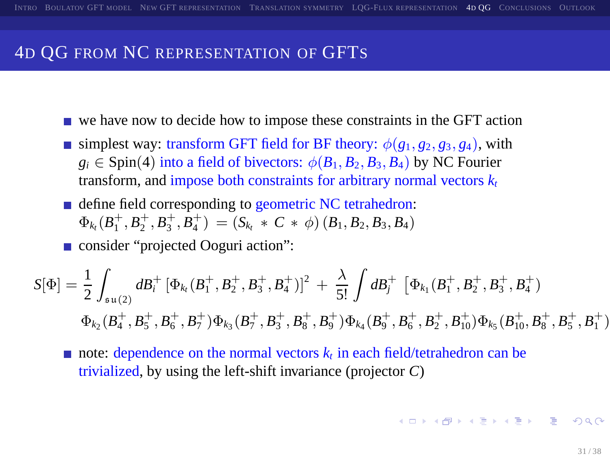- we have now to decide how to impose these constraints in the GFT action
- simplest way: transform GFT field for BF theory:  $\phi(g_1, g_2, g_3, g_4)$ , with  $g_i \in$  Spin(4) into a field of bivectors:  $\phi(B_1, B_2, B_3, B_4)$  by NC Fourier transform, and impose both constraints for arbitrary normal vectors  $k_t$
- define field corresponding to geometric NC tetrahedron:  $\Phi_{k_t}(B_1^+, B_2^+, B_3^+, B_4^+) = (S_{k_t} * C * \phi)(B_1, B_2, B_3, B_4)$

■ consider "projected Ooguri action":

$$
S[\Phi] = \frac{1}{2} \int_{s u(2)} d B_i^+ [\Phi_{k_1}(B_1^+, B_2^+, B_3^+, B_4^+)]^2 + \frac{\lambda}{5!} \int d B_i^+ [\Phi_{k_1}(B_1^+, B_2^+, B_3^+, B_4^+)]
$$
  

$$
\Phi_{k_2}(B_4^+, B_5^+, B_6^+, B_7^+) \Phi_{k_3}(B_7^+, B_3^+, B_8^+, B_9^+) \Phi_{k_4}(B_9^+, B_6^+, B_2^+, B_{10}^+) \Phi_{k_5}(B_{10}^+, B_8^+, B_5^+, B_1^+)
$$

<span id="page-30-0"></span>note: dependence on the normal vectors  $k_t$  in each field/tetrahedron can be trivialized, by using the left-shift invariance (projector *C*)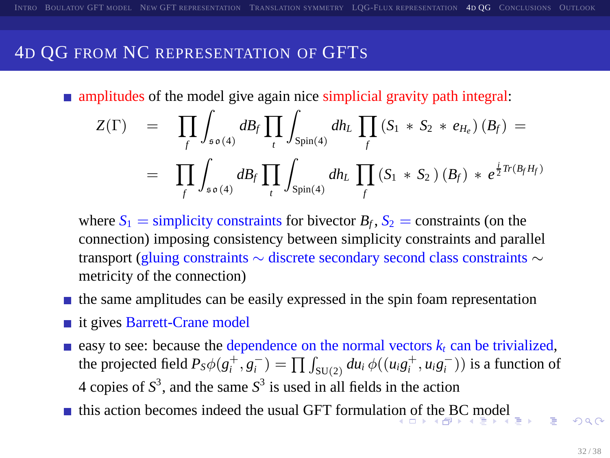**n** amplitudes of the model give again nice simplicial gravity path integral:

$$
Z(\Gamma) = \prod_{f} \int_{s \circ (4)} dB_{f} \prod_{t} \int_{S_{\text{pin}(4)}} dh_{L} \prod_{f} (S_{1} * S_{2} * e_{H_{e}}) (B_{f}) =
$$
  
= 
$$
\prod_{f} \int_{s \circ (4)} dB_{f} \prod_{t} \int_{S_{\text{pin}(4)}} dh_{L} \prod_{f} (S_{1} * S_{2}) (B_{f}) * e^{\frac{i}{2} Tr (B_{f} H_{f})}
$$

where  $S_1$  = simplicity constraints for bivector  $B_f$ ,  $S_2$  = constraints (on the connection) imposing consistency between simplicity constraints and parallel transport (gluing constraints ∼ discrete secondary second class constraints ∼ metricity of the connection)

- $\blacksquare$  the same amplitudes can be easily expressed in the spin foam representation
- it gives Barrett-Crane model
- easy to see: because the dependence on the normal vectors  $k_t$  can be trivialized, the projected field  $P_S\phi(g_i^+, g_i^-) = \prod \int_{SU(2)} du_i \, \phi((u_i g_i^+, u_i g_i^-))$  is a function of 4 copies of  $S^3$ , and the same  $S^3$  is used in all fields in the action
- <span id="page-31-0"></span>this acti[on](#page-30-0) becomes indeed the usual GFT formulation [of t](#page-32-0)[h](#page-30-0)[e B](#page-31-0)[C](#page-32-0) [m](#page-23-0)[o](#page-33-0)[d](#page-34-0)[el](#page-22-0)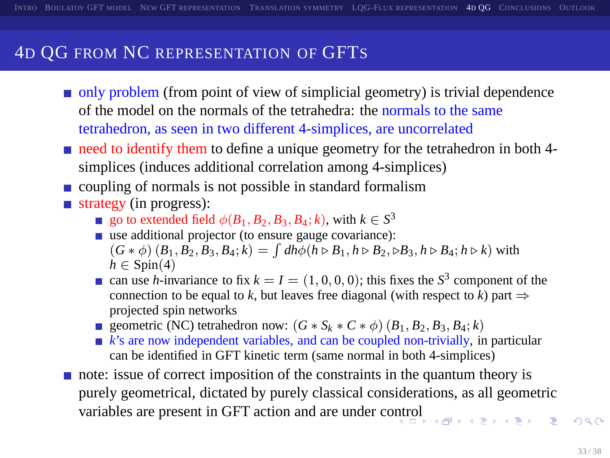- only problem (from point of view of simplicial geometry) is trivial dependence of the model on the normals of the tetrahedra: the normals to the same tetrahedron, as seen in two different 4-simplices, are uncorrelated
- need to identify them to define a unique geometry for the tetrahedron in both 4simplices (induces additional correlation among 4-simplices)
- $\Box$  coupling of normals is not possible in standard formalism
- $\blacksquare$  strategy (in progress):
	- go to extended field  $\phi(B_1, B_2, B_3, B_4; k)$ , with  $k \in S^3$
	- use additional projector (to ensure gauge covariance):  $(G * \phi) (B_1, B_2, B_3, B_4; k) = \int dh \phi(h \triangleright B_1, h \triangleright B_2, \triangleright B_3, h \triangleright B_4; h \triangleright k)$  with  $h \in$  Spin(4)
	- can use *h*-invariance to fix  $k = I = (1, 0, 0, 0)$ ; this fixes the  $S^3$  component of the connection to be equal to *k*, but leaves free diagonal (with respect to *k*) part  $\Rightarrow$ projected spin networks
	- geometric (NC) tetrahedron now:  $(G * S_k * C * \phi) (B_1, B_2, B_3, B_4; k)$
	- $\blacktriangleright$  *k*'s are now independent variables, and can be coupled non-trivially, in particular can be identified in GFT kinetic term (same normal in both 4-simplices)
- <span id="page-32-0"></span>note: issue of correct imposition of the constraints in the quantum theory is purely geometrical, dictated by purely classical considerations, as all geometric variables are present in GFT action and are under c[ontr](#page-31-0)[ol](#page-33-0)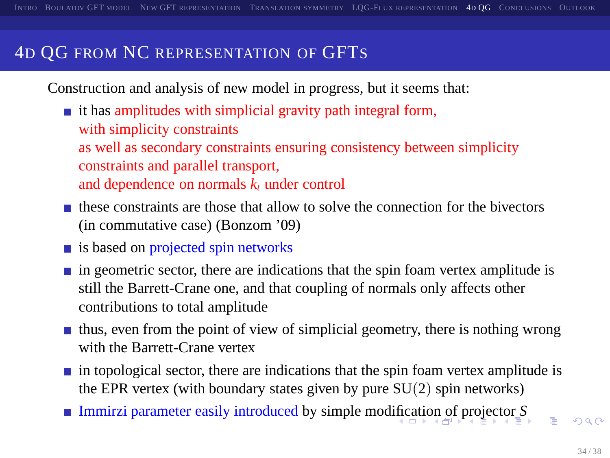Construction and analysis of new model in progress, but it seems that:

 $\blacksquare$  it has amplitudes with simplicial gravity path integral form, with simplicity constraints as well as secondary constraints ensuring consistency between simplicity constraints and parallel transport, and dependence on normals *k<sup>t</sup>* under control

- $\blacksquare$  these constraints are those that allow to solve the connection for the bivectors (in commutative case) (Bonzom '09)
- $\blacksquare$  is based on projected spin networks
- $\blacksquare$  in geometric sector, there are indications that the spin foam vertex amplitude is still the Barrett-Crane one, and that coupling of normals only affects other contributions to total amplitude
- $\blacksquare$  thus, even from the point of view of simplicial geometry, there is nothing wrong with the Barrett-Crane vertex
- $\blacksquare$  in topological sector, there are indications that the spin foam vertex amplitude is the EPR vertex (with boundary states given by pure  $SU(2)$  spin networks)
- <span id="page-33-0"></span>■ Immirzi parameter easily introduced by simple mod[ific](#page-32-0)[ati](#page-34-0)[on](#page-32-0) [of](#page-33-0)[pr](#page-22-0)[o](#page-23-0)[je](#page-33-0)[c](#page-34-0)[to](#page-22-0)[r](#page-23-0) *[S](#page-33-0)*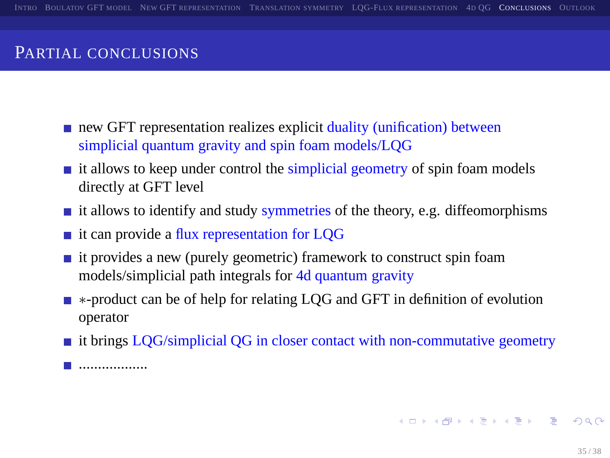### PARTIAL CONCLUSIONS

- new GFT representation realizes explicit duality (unification) between simplicial quantum gravity and spin foam models/LQG
- $\blacksquare$  it allows to keep under control the simplicial geometry of spin foam models directly at GFT level
- $\blacksquare$  it allows to identify and study symmetries of the theory, e.g. diffeomorphisms
- $\blacksquare$  it can provide a flux representation for LQG
- $\blacksquare$  it provides a new (purely geometric) framework to construct spin foam models/simplicial path integrals for 4d quantum gravity
- ∗-product can be of help for relating LQG and GFT in definition of evolution operator
- $\blacksquare$  it brings LQG/simplicial QG in closer contact with non-commutative geometry

<span id="page-34-0"></span>..................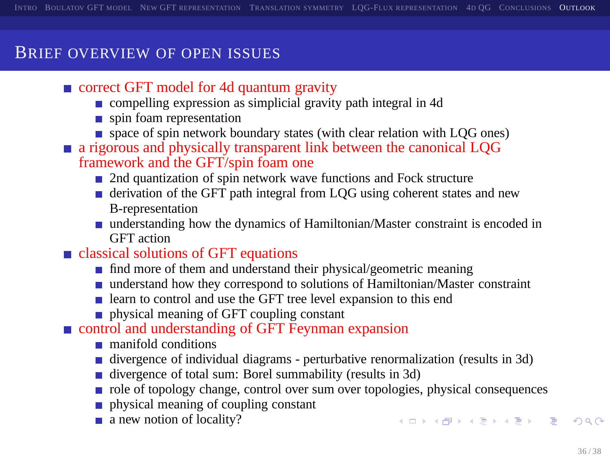### BRIEF OVERVIEW OF OPEN ISSUES

- correct GFT model for 4d quantum gravity
	- compelling expression as simplicial gravity path integral in 4d
	- spin foam representation
	- space of spin network boundary states (with clear relation with LQG ones)
- **a** rigorous and physically transparent link between the canonical LQG framework and the GFT/spin foam one
	- 2nd quantization of spin network wave functions and Fock structure
	- derivation of the GFT path integral from LQG using coherent states and new B-representation
	- understanding how the dynamics of Hamiltonian/Master constraint is encoded in GFT action
- classical solutions of GFT equations
	- find more of them and understand their physical/geometric meaning
	- understand how they correspond to solutions of Hamiltonian/Master constraint
	- learn to control and use the GFT tree level expansion to this end
	- physical meaning of GFT coupling constant

#### control and understanding of GFT Feynman expansion

- manifold conditions
- divergence of individual diagrams perturbative renormalization (results in 3d)
- divergence of total sum: Borel summability (results in 3d)
- role of topology change, control over sum over topologies, physical consequences
- physical meaning of coupling constant
- a new notion of locality?

<span id="page-35-0"></span>**KORKARA CERKER ORA**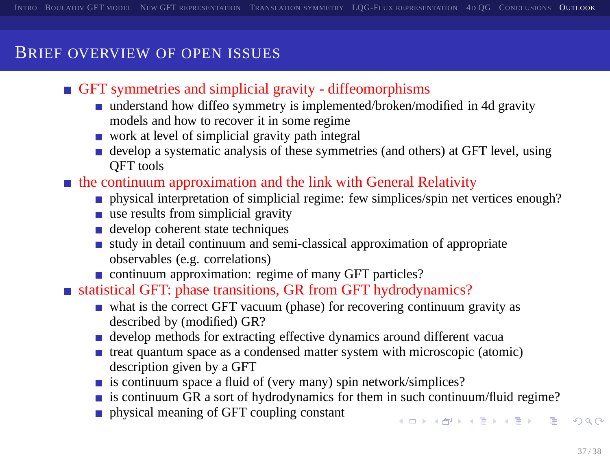### BRIEF OVERVIEW OF OPEN ISSUES

- GFT symmetries and simplicial gravity diffeomorphisms
	- understand how diffeo symmetry is implemented/broken/modified in 4d gravity models and how to recover it in some regime
	- work at level of simplicial gravity path integral
	- develop a systematic analysis of these symmetries (and others) at GFT level, using QFT tools
- $\blacksquare$  the continuum approximation and the link with General Relativity
	- **physical interpretation of simplicial regime: few simplices/spin net vertices enough?**
	- $\blacksquare$  use results from simplicial gravity
	- develop coherent state techniques
	- $\blacksquare$  study in detail continuum and semi-classical approximation of appropriate observables (e.g. correlations)
	- continuum approximation: regime of many GFT particles?
- statistical GFT: phase transitions, GR from GFT hydrodynamics?
	- what is the correct GFT vacuum (phase) for recovering continuum gravity as described by (modified) GR?
	- develop methods for extracting effective dynamics around different vacua
	- treat quantum space as a condensed matter system with microscopic (atomic) description given by a GFT
	- is continuum space a fluid of (very many) spin network/simplices?
	- is continuum GR a sort of hydrodynamics for them in such continuum/fluid regime?
	- physical meaning of GFT coupling constant

**A DIA K PIA SA K PIA SA K PIA K PIA SA PIA SA PIA SA PIA SA PIA SA PIA SA PIA SA PIA SA PIA SA PIA SA PIA SA P**